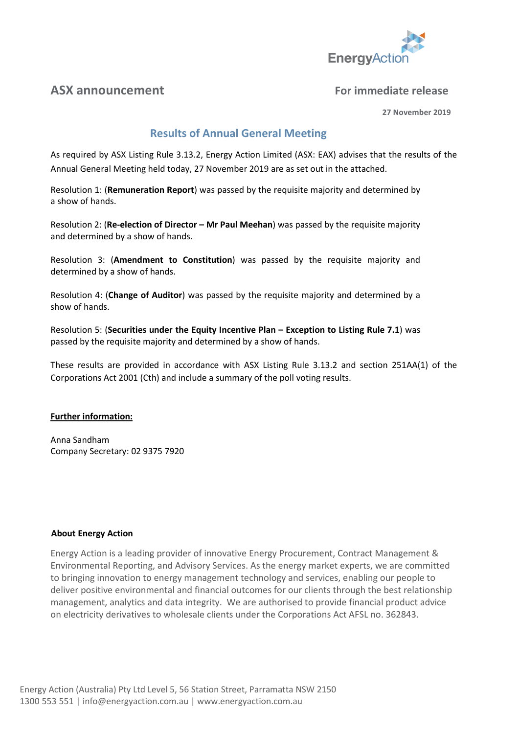

# **ASX announcement For immediate release**

**27 November 2019**

# **Results of Annual General Meeting**

As required by ASX Listing Rule 3.13.2, Energy Action Limited (ASX: EAX) advises that the results of the Annual General Meeting held today, 27 November 2019 are as set out in the attached.

Resolution 1: (**Remuneration Report**) was passed by the requisite majority and determined by a show of hands.

Resolution 2: (**Re-election of Director – Mr Paul Meehan**) was passed by the requisite majority and determined by a show of hands.

Resolution 3: (**Amendment to Constitution**) was passed by the requisite majority and determined by a show of hands.

Resolution 4: (**Change of Auditor**) was passed by the requisite majority and determined by a show of hands.

Resolution 5: (**Securities under the Equity Incentive Plan – Exception to Listing Rule 7.1**) was passed by the requisite majority and determined by a show of hands.

These results are provided in accordance with ASX Listing Rule 3.13.2 and section 251AA(1) of the Corporations Act 2001 (Cth) and include a summary of the poll voting results.

### **Further information:**

Anna Sandham Company Secretary: 02 9375 7920

### **About Energy Action**

Energy Action is a leading provider of innovative Energy Procurement, Contract Management & Environmental Reporting, and Advisory Services. As the energy market experts, we are committed to bringing innovation to energy management technology and services, enabling our people to deliver positive environmental and financial outcomes for our clients through the best relationship management, analytics and data integrity. We are authorised to provide financial product advice on electricity derivatives to wholesale clients under the Corporations Act AFSL no. 362843.